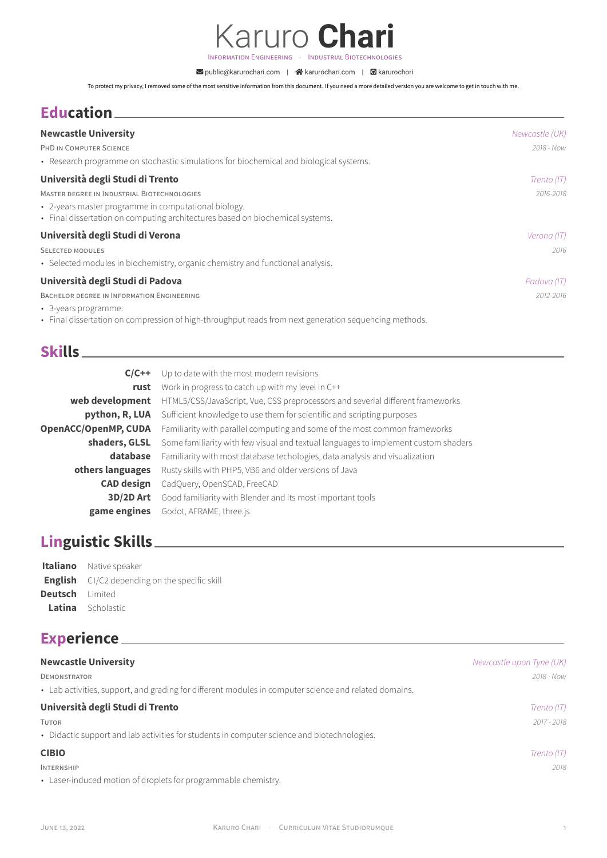Karuro **Chari** INFORMATION ENGINEERING · INDUSTRIAL BIOTECHNOLOGIES

å public@karurochari.com | S karurochari.com | E karurochori

To protect my privacy, I removed some of the most sensitive information from this document. If you need a more detailed version you are welcome to get in touch with me.

# **Education**

| <b>Newcastle University</b>                                                                                                           | Newcastle (UK) |
|---------------------------------------------------------------------------------------------------------------------------------------|----------------|
| PHD IN COMPUTER SCIENCE                                                                                                               | 2018 - Now     |
| • Research programme on stochastic simulations for biochemical and biological systems.                                                |                |
| Università degli Studi di Trento                                                                                                      | Trento (IT)    |
| MASTER DEGREE IN INDUSTRIAL BIOTECHNOLOGIES                                                                                           | 2016-2018      |
| • 2-years master programme in computational biology.<br>• Final dissertation on computing architectures based on biochemical systems. |                |
| Università degli Studi di Verona                                                                                                      | Verona (IT)    |
| <b>SELECTED MODULES</b>                                                                                                               | 2016           |
| • Selected modules in biochemistry, organic chemistry and functional analysis.                                                        |                |
| Università degli Studi di Padova                                                                                                      | Padova (IT)    |
| BACHELOR DEGREE IN INFORMATION ENGINEERING                                                                                            | 2012-2016      |
| • 3-years programme.                                                                                                                  |                |

• Final dissertation on compression of high-throughput reads from next generation sequencing methods.

## **Skills**

| $C/C++$                     | Up to date with the most modern revisions                                          |
|-----------------------------|------------------------------------------------------------------------------------|
| rust                        | Work in progress to catch up with my level in C++                                  |
| web development             | HTML5/CSS/JavaScript, Vue, CSS preprocessors and severial different frameworks     |
| python, R, LUA              | Sufficient knowledge to use them for scientific and scripting purposes             |
| <b>OpenACC/OpenMP, CUDA</b> | Familiarity with parallel computing and some of the most common frameworks         |
| shaders, GLSL               | Some familiarity with few visual and textual languages to implement custom shaders |
| database                    | Familiarity with most database techologies, data analysis and visualization        |
| others languages            | Rusty skills with PHP5, VB6 and older versions of Java                             |
| <b>CAD</b> design           | CadQuery, OpenSCAD, FreeCAD                                                        |
| 3D/2D Art                   | Good familiarity with Blender and its most important tools                         |
| game engines                | Godot, AFRAME, three.js                                                            |

# **Linguistic Skills**

|                        | <b>Italiano</b> Native speaker                       |
|------------------------|------------------------------------------------------|
|                        | <b>English</b> C1/C2 depending on the specific skill |
| <b>Deutsch</b> limited |                                                      |
|                        | <b>Latina</b> Scholastic                             |

# **Experience**

| <b>Newcastle University</b>                                                                           | Newcastle upon Tyne (UK) |
|-------------------------------------------------------------------------------------------------------|--------------------------|
| <b>DEMONSTRATOR</b>                                                                                   | 2018 - Now               |
| • Lab activities, support, and grading for different modules in computer science and related domains. |                          |
| Università degli Studi di Trento                                                                      | Trento (IT)              |
| <b>TUTOR</b>                                                                                          | 2017 - 2018              |
| • Didactic support and lab activities for students in computer science and biotechnologies.           |                          |
| <b>CIBIO</b>                                                                                          | Trento (IT)              |
| <b>INTERNSHIP</b>                                                                                     | 2018                     |
| • Laser-induced motion of droplets for programmable chemistry.                                        |                          |